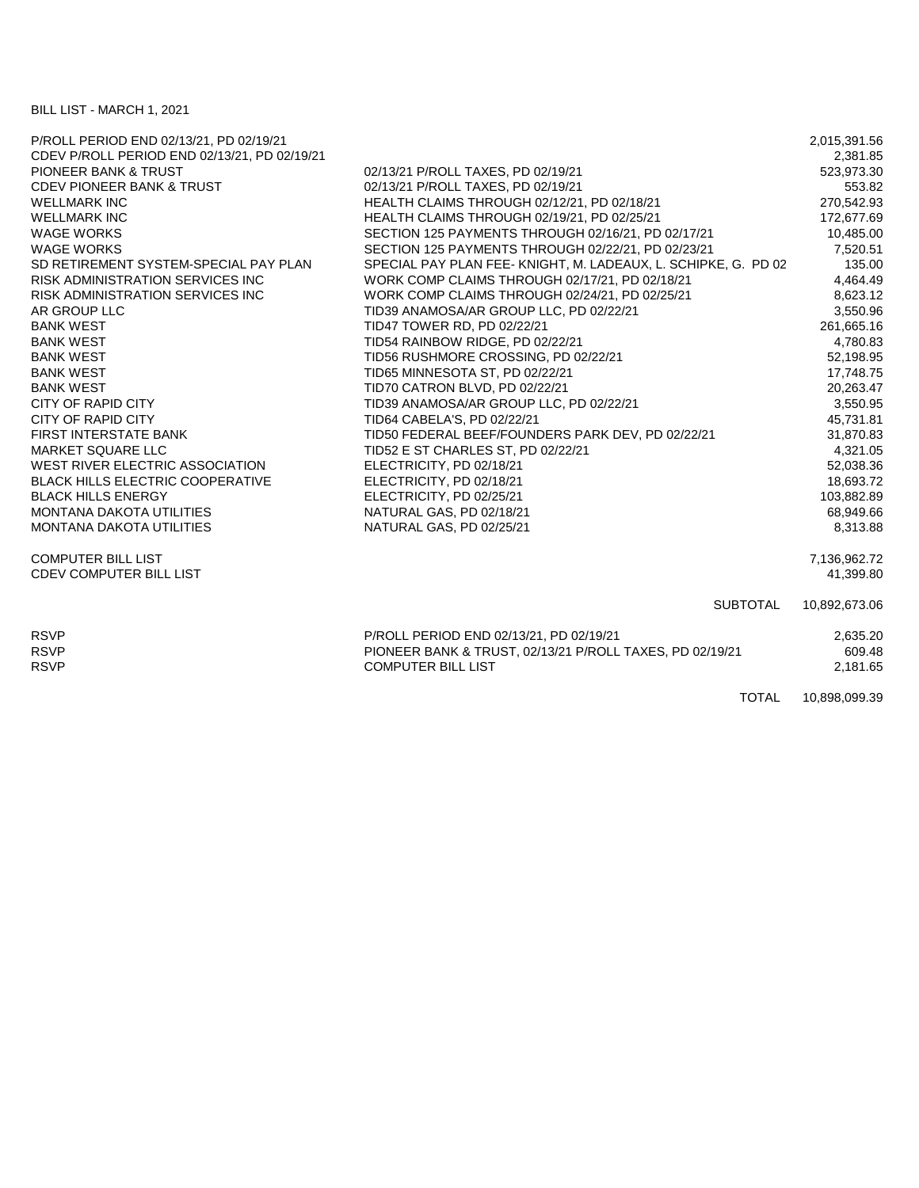BILL LIST - MARCH 1, 2021

| P/ROLL PERIOD END 02/13/21, PD 02/19/21      |                                                                | 2,015,391.56  |
|----------------------------------------------|----------------------------------------------------------------|---------------|
| CDEV P/ROLL PERIOD END 02/13/21, PD 02/19/21 |                                                                | 2,381.85      |
| <b>PIONEER BANK &amp; TRUST</b>              | 02/13/21 P/ROLL TAXES, PD 02/19/21                             | 523,973.30    |
| <b>CDEV PIONEER BANK &amp; TRUST</b>         | 02/13/21 P/ROLL TAXES, PD 02/19/21                             | 553.82        |
| <b>WELLMARK INC</b>                          | HEALTH CLAIMS THROUGH 02/12/21, PD 02/18/21                    | 270,542.93    |
| <b>WELLMARK INC</b>                          | HEALTH CLAIMS THROUGH 02/19/21, PD 02/25/21                    | 172,677.69    |
| <b>WAGE WORKS</b>                            | SECTION 125 PAYMENTS THROUGH 02/16/21, PD 02/17/21             | 10,485.00     |
| <b>WAGE WORKS</b>                            | SECTION 125 PAYMENTS THROUGH 02/22/21, PD 02/23/21             | 7,520.51      |
| SD RETIREMENT SYSTEM-SPECIAL PAY PLAN        | SPECIAL PAY PLAN FEE- KNIGHT, M. LADEAUX, L. SCHIPKE, G. PD 02 | 135.00        |
| <b>RISK ADMINISTRATION SERVICES INC.</b>     | WORK COMP CLAIMS THROUGH 02/17/21, PD 02/18/21                 | 4,464.49      |
| RISK ADMINISTRATION SERVICES INC             | WORK COMP CLAIMS THROUGH 02/24/21, PD 02/25/21                 | 8,623.12      |
| AR GROUP LLC                                 | TID39 ANAMOSA/AR GROUP LLC, PD 02/22/21                        | 3,550.96      |
| <b>BANK WEST</b>                             | TID47 TOWER RD, PD 02/22/21                                    | 261,665.16    |
| <b>BANK WEST</b>                             | TID54 RAINBOW RIDGE, PD 02/22/21                               | 4,780.83      |
| <b>BANK WEST</b>                             | TID56 RUSHMORE CROSSING, PD 02/22/21                           | 52,198.95     |
| <b>BANK WEST</b>                             | TID65 MINNESOTA ST, PD 02/22/21                                | 17,748.75     |
| <b>BANK WEST</b>                             | TID70 CATRON BLVD, PD 02/22/21                                 | 20,263.47     |
| CITY OF RAPID CITY                           | TID39 ANAMOSA/AR GROUP LLC, PD 02/22/21                        | 3,550.95      |
| CITY OF RAPID CITY                           | TID64 CABELA'S, PD 02/22/21                                    | 45,731.81     |
| <b>FIRST INTERSTATE BANK</b>                 | TID50 FEDERAL BEEF/FOUNDERS PARK DEV, PD 02/22/21              | 31,870.83     |
| <b>MARKET SQUARE LLC</b>                     | TID52 E ST CHARLES ST, PD 02/22/21                             | 4,321.05      |
| WEST RIVER ELECTRIC ASSOCIATION              | ELECTRICITY, PD 02/18/21                                       | 52,038.36     |
| <b>BLACK HILLS ELECTRIC COOPERATIVE</b>      | ELECTRICITY, PD 02/18/21                                       | 18,693.72     |
| <b>BLACK HILLS ENERGY</b>                    | ELECTRICITY, PD 02/25/21                                       | 103,882.89    |
| <b>MONTANA DAKOTA UTILITIES</b>              | NATURAL GAS, PD 02/18/21                                       | 68,949.66     |
| <b>MONTANA DAKOTA UTILITIES</b>              | NATURAL GAS, PD 02/25/21                                       | 8,313.88      |
|                                              |                                                                |               |
| <b>COMPUTER BILL LIST</b>                    |                                                                | 7,136,962.72  |
| <b>CDEV COMPUTER BILL LIST</b>               |                                                                | 41.399.80     |
|                                              | <b>SUBTOTAL</b>                                                | 10,892,673.06 |
| <b>RSVP</b>                                  | P/ROLL PERIOD END 02/13/21, PD 02/19/21                        | 2,635.20      |
| <b>RSVP</b>                                  | PIONEER BANK & TRUST, 02/13/21 P/ROLL TAXES, PD 02/19/21       | 609.48        |
| <b>RSVP</b>                                  | <b>COMPUTER BILL LIST</b>                                      | 2,181.65      |
|                                              | <b>TOTAL</b>                                                   | 10,898,099.39 |
|                                              |                                                                |               |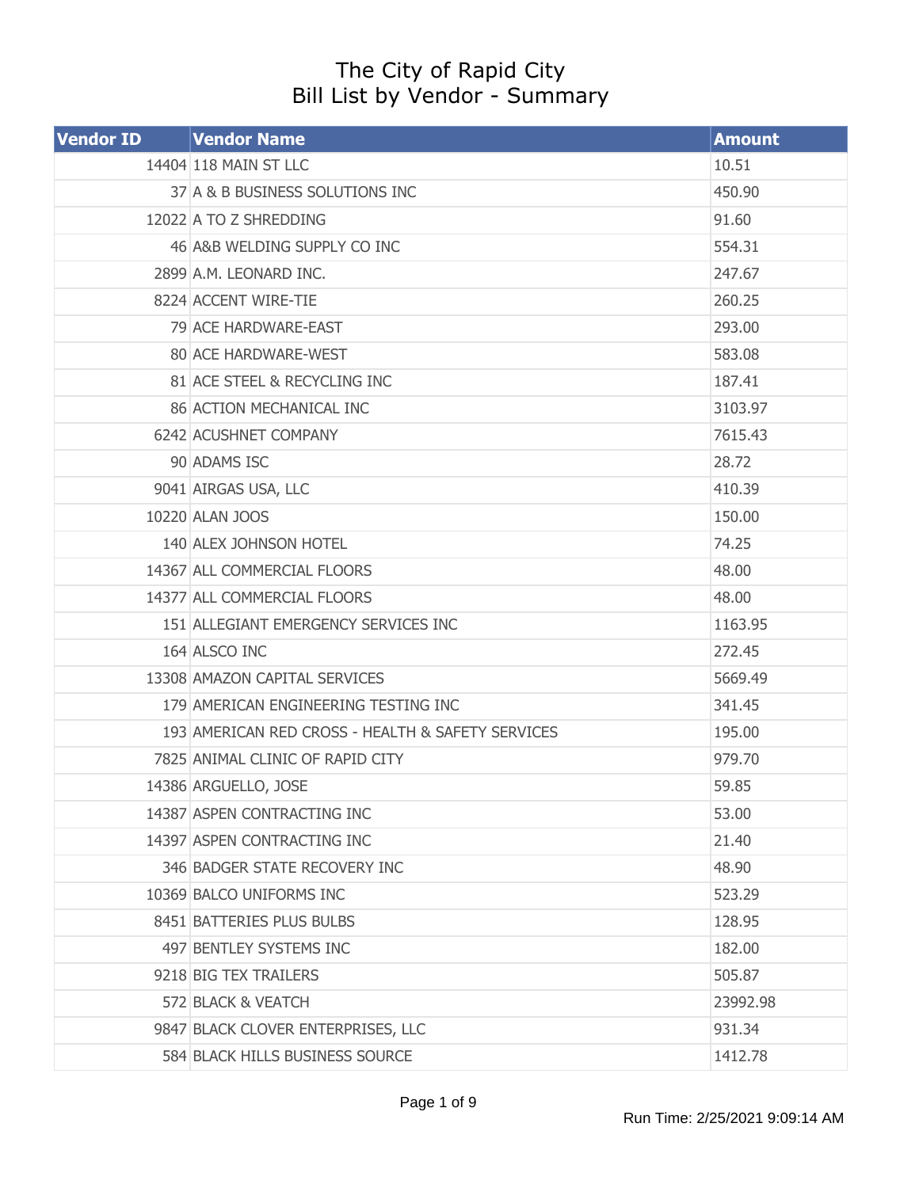## The City of Rapid City Bill List by Vendor - Summary

| <b>Vendor ID</b> | <b>Vendor Name</b>                                | <b>Amount</b> |
|------------------|---------------------------------------------------|---------------|
|                  | 14404 118 MAIN ST LLC                             | 10.51         |
|                  | 37 A & B BUSINESS SOLUTIONS INC                   | 450.90        |
|                  | 12022 A TO Z SHREDDING                            | 91.60         |
|                  | 46 A&B WELDING SUPPLY CO INC                      | 554.31        |
|                  | 2899 A.M. LEONARD INC.                            | 247.67        |
|                  | 8224 ACCENT WIRE-TIE                              | 260.25        |
|                  | 79 ACE HARDWARE-EAST                              | 293.00        |
|                  | 80 ACE HARDWARE-WEST                              | 583.08        |
|                  | 81 ACE STEEL & RECYCLING INC                      | 187.41        |
|                  | 86 ACTION MECHANICAL INC                          | 3103.97       |
|                  | 6242 ACUSHNET COMPANY                             | 7615.43       |
|                  | 90 ADAMS ISC                                      | 28.72         |
|                  | 9041 AIRGAS USA, LLC                              | 410.39        |
|                  | 10220 ALAN JOOS                                   | 150.00        |
|                  | 140 ALEX JOHNSON HOTEL                            | 74.25         |
|                  | 14367 ALL COMMERCIAL FLOORS                       | 48.00         |
|                  | 14377 ALL COMMERCIAL FLOORS                       | 48.00         |
|                  | 151 ALLEGIANT EMERGENCY SERVICES INC              | 1163.95       |
|                  | 164 ALSCO INC                                     | 272.45        |
|                  | 13308 AMAZON CAPITAL SERVICES                     | 5669.49       |
|                  | 179 AMERICAN ENGINEERING TESTING INC              | 341.45        |
|                  | 193 AMERICAN RED CROSS - HEALTH & SAFETY SERVICES | 195.00        |
|                  | 7825 ANIMAL CLINIC OF RAPID CITY                  | 979.70        |
|                  | 14386 ARGUELLO, JOSE                              | 59.85         |
|                  | 14387 ASPEN CONTRACTING INC                       | 53.00         |
|                  | 14397 ASPEN CONTRACTING INC                       | 21.40         |
|                  | 346 BADGER STATE RECOVERY INC                     | 48.90         |
|                  | 10369 BALCO UNIFORMS INC                          | 523.29        |
|                  | 8451 BATTERIES PLUS BULBS                         | 128.95        |
|                  | 497 BENTLEY SYSTEMS INC                           | 182.00        |
|                  | 9218 BIG TEX TRAILERS                             | 505.87        |
|                  | 572 BLACK & VEATCH                                | 23992.98      |
|                  | 9847 BLACK CLOVER ENTERPRISES, LLC                | 931.34        |
|                  | 584 BLACK HILLS BUSINESS SOURCE                   | 1412.78       |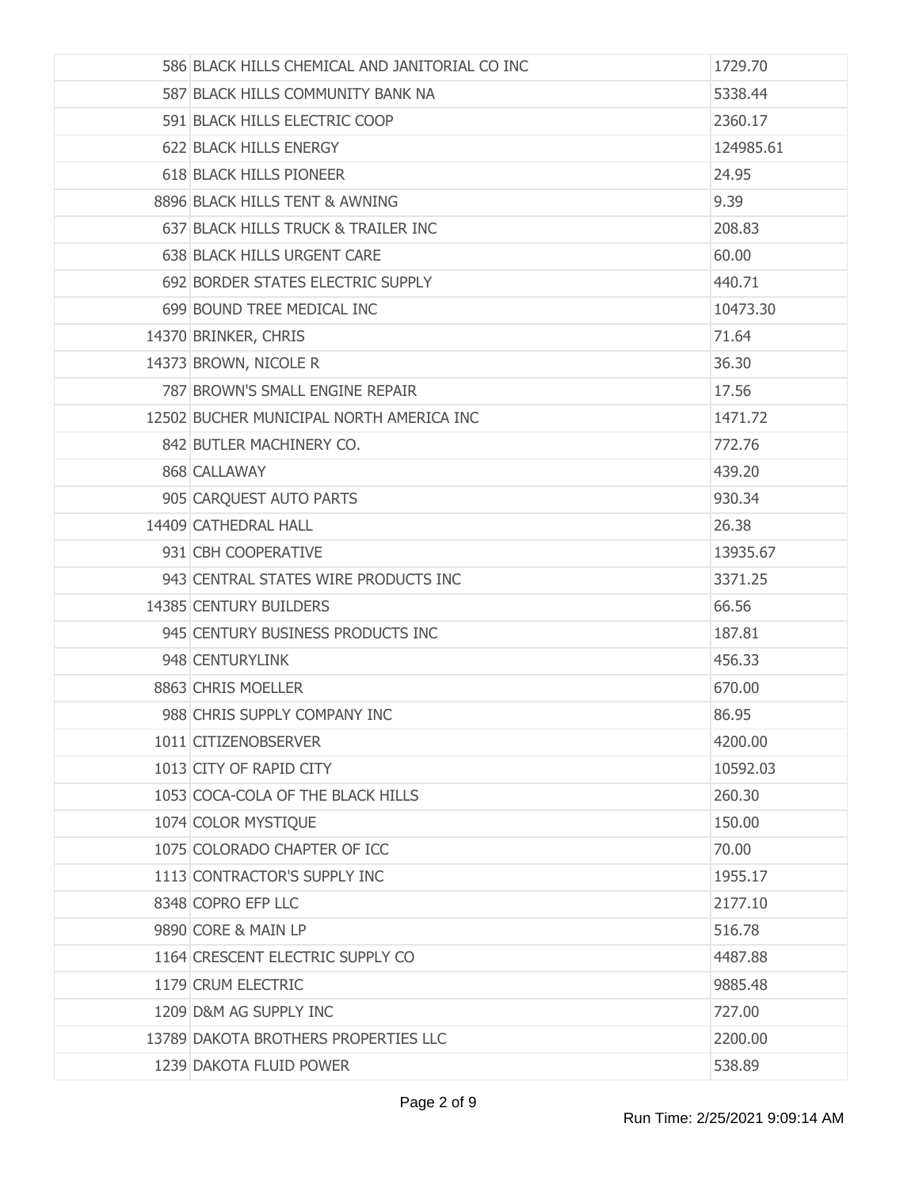| 586 BLACK HILLS CHEMICAL AND JANITORIAL CO INC | 1729.70   |
|------------------------------------------------|-----------|
| 587 BLACK HILLS COMMUNITY BANK NA              | 5338.44   |
| 591 BLACK HILLS ELECTRIC COOP                  | 2360.17   |
| 622 BLACK HILLS ENERGY                         | 124985.61 |
| 618 BLACK HILLS PIONEER                        | 24.95     |
| 8896 BLACK HILLS TENT & AWNING                 | 9.39      |
| 637 BLACK HILLS TRUCK & TRAILER INC            | 208.83    |
| 638 BLACK HILLS URGENT CARE                    | 60.00     |
| 692 BORDER STATES ELECTRIC SUPPLY              | 440.71    |
| 699 BOUND TREE MEDICAL INC                     | 10473.30  |
| 14370 BRINKER, CHRIS                           | 71.64     |
| 14373 BROWN, NICOLE R                          | 36.30     |
| 787 BROWN'S SMALL ENGINE REPAIR                | 17.56     |
| 12502 BUCHER MUNICIPAL NORTH AMERICA INC       | 1471.72   |
| 842 BUTLER MACHINERY CO.                       | 772.76    |
| 868 CALLAWAY                                   | 439.20    |
| 905 CARQUEST AUTO PARTS                        | 930.34    |
| 14409 CATHEDRAL HALL                           | 26.38     |
| 931 CBH COOPERATIVE                            | 13935.67  |
| 943 CENTRAL STATES WIRE PRODUCTS INC           | 3371.25   |
| 14385 CENTURY BUILDERS                         | 66.56     |
| 945 CENTURY BUSINESS PRODUCTS INC              | 187.81    |
| 948 CENTURYLINK                                | 456.33    |
| 8863 CHRIS MOELLER                             | 670.00    |
| 988 CHRIS SUPPLY COMPANY INC                   | 86.95     |
| 1011 CITIZENOBSERVER                           | 4200.00   |
| 1013 CITY OF RAPID CITY                        | 10592.03  |
| 1053 COCA-COLA OF THE BLACK HILLS              | 260.30    |
| 1074 COLOR MYSTIQUE                            | 150,00    |
| 1075 COLORADO CHAPTER OF ICC                   | 70.00     |
| 1113 CONTRACTOR'S SUPPLY INC                   | 1955.17   |
| 8348 COPRO EFP LLC                             | 2177.10   |
| 9890 CORE & MAIN LP                            | 516.78    |
| 1164 CRESCENT ELECTRIC SUPPLY CO               | 4487.88   |
| 1179 CRUM ELECTRIC                             | 9885.48   |
| 1209 D&M AG SUPPLY INC                         | 727.00    |
| 13789 DAKOTA BROTHERS PROPERTIES LLC           | 2200.00   |
| 1239 DAKOTA FLUID POWER                        | 538.89    |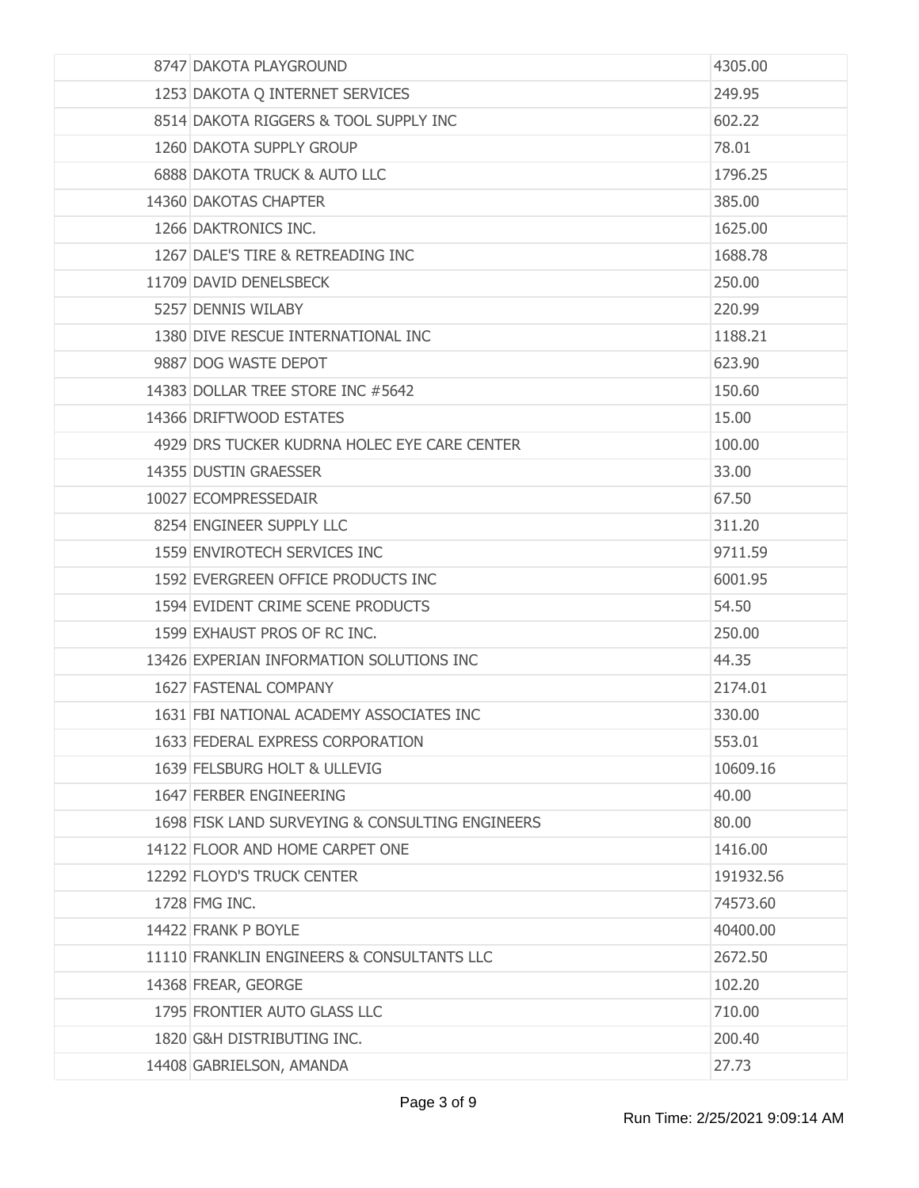| 8747 DAKOTA PLAYGROUND                          | 4305.00   |
|-------------------------------------------------|-----------|
| 1253 DAKOTA Q INTERNET SERVICES                 | 249.95    |
| 8514 DAKOTA RIGGERS & TOOL SUPPLY INC           | 602.22    |
| 1260 DAKOTA SUPPLY GROUP                        | 78.01     |
| 6888 DAKOTA TRUCK & AUTO LLC                    | 1796.25   |
| 14360 DAKOTAS CHAPTER                           | 385.00    |
| 1266 DAKTRONICS INC.                            | 1625.00   |
| 1267 DALE'S TIRE & RETREADING INC               | 1688.78   |
| 11709 DAVID DENELSBECK                          | 250.00    |
| 5257 DENNIS WILABY                              | 220.99    |
| 1380 DIVE RESCUE INTERNATIONAL INC              | 1188.21   |
| 9887 DOG WASTE DEPOT                            | 623.90    |
| 14383 DOLLAR TREE STORE INC #5642               | 150.60    |
| 14366 DRIFTWOOD ESTATES                         | 15.00     |
| 4929 DRS TUCKER KUDRNA HOLEC EYE CARE CENTER    | 100.00    |
| 14355 DUSTIN GRAESSER                           | 33.00     |
| 10027 ECOMPRESSEDAIR                            | 67.50     |
| 8254 ENGINEER SUPPLY LLC                        | 311.20    |
| 1559 ENVIROTECH SERVICES INC                    | 9711.59   |
| 1592 EVERGREEN OFFICE PRODUCTS INC              | 6001.95   |
| 1594 EVIDENT CRIME SCENE PRODUCTS               | 54.50     |
| 1599 EXHAUST PROS OF RC INC.                    | 250.00    |
| 13426 EXPERIAN INFORMATION SOLUTIONS INC        | 44.35     |
| 1627 FASTENAL COMPANY                           | 2174.01   |
| 1631 FBI NATIONAL ACADEMY ASSOCIATES INC        | 330.00    |
| 1633 FEDERAL EXPRESS CORPORATION                | 553.01    |
| 1639 FELSBURG HOLT & ULLEVIG                    | 10609.16  |
| 1647 FERBER ENGINEERING                         | 40.00     |
| 1698 FISK LAND SURVEYING & CONSULTING ENGINEERS | 80.00     |
| 14122 FLOOR AND HOME CARPET ONE                 | 1416.00   |
| 12292 FLOYD'S TRUCK CENTER                      | 191932.56 |
| 1728 FMG INC.                                   | 74573.60  |
| 14422 FRANK P BOYLE                             | 40400.00  |
| 11110 FRANKLIN ENGINEERS & CONSULTANTS LLC      | 2672.50   |
| 14368 FREAR, GEORGE                             | 102.20    |
| 1795 FRONTIER AUTO GLASS LLC                    | 710.00    |
| 1820 G&H DISTRIBUTING INC.                      | 200.40    |
| 14408 GABRIELSON, AMANDA                        | 27.73     |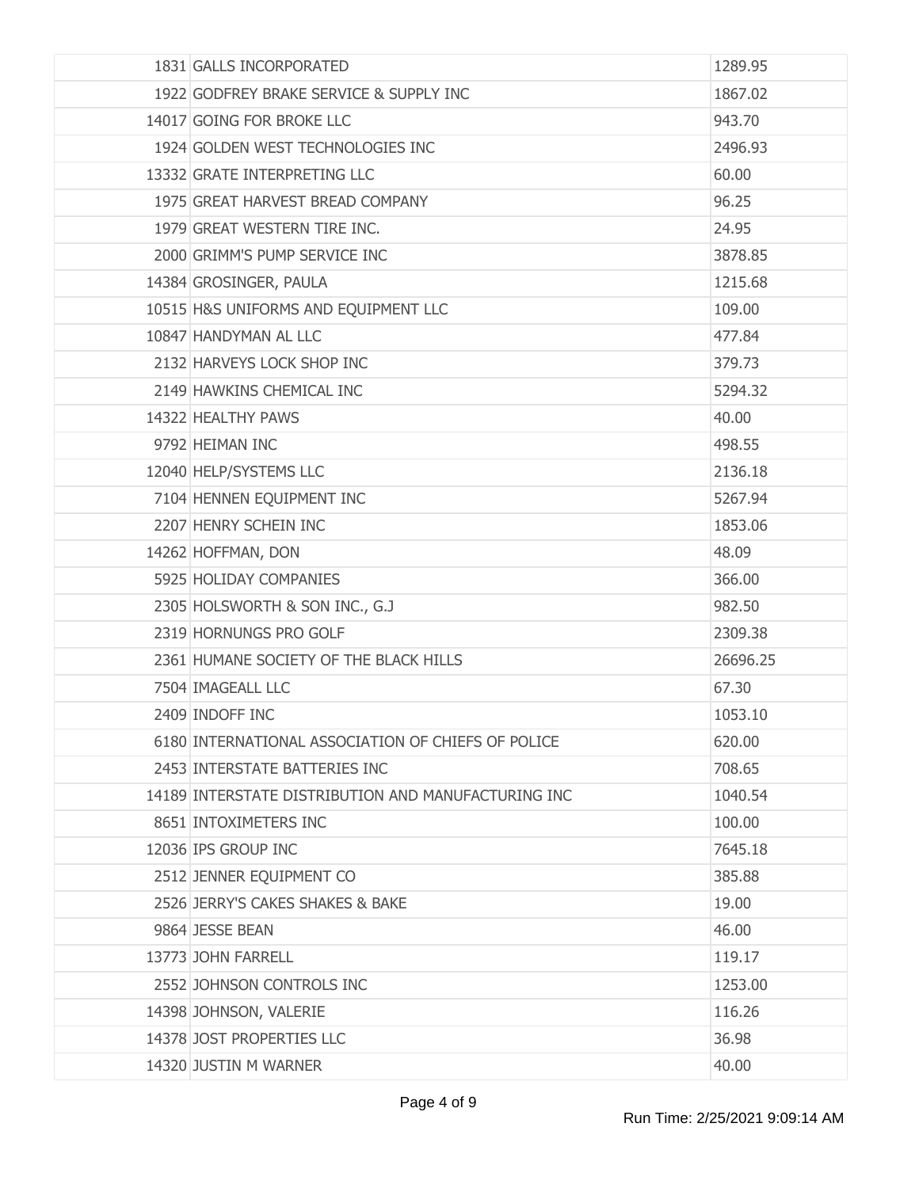| 1831 GALLS INCORPORATED                             | 1289.95  |
|-----------------------------------------------------|----------|
| 1922 GODFREY BRAKE SERVICE & SUPPLY INC             | 1867.02  |
| 14017 GOING FOR BROKE LLC                           | 943.70   |
| 1924 GOLDEN WEST TECHNOLOGIES INC                   | 2496.93  |
| 13332 GRATE INTERPRETING LLC                        | 60.00    |
| 1975 GREAT HARVEST BREAD COMPANY                    | 96.25    |
| 1979 GREAT WESTERN TIRE INC.                        | 24.95    |
| 2000 GRIMM'S PUMP SERVICE INC                       | 3878.85  |
| 14384 GROSINGER, PAULA                              | 1215.68  |
| 10515 H&S UNIFORMS AND EQUIPMENT LLC                | 109.00   |
| 10847 HANDYMAN AL LLC                               | 477.84   |
| 2132 HARVEYS LOCK SHOP INC                          | 379.73   |
| 2149 HAWKINS CHEMICAL INC                           | 5294.32  |
| 14322 HEALTHY PAWS                                  | 40.00    |
| 9792 HEIMAN INC                                     | 498.55   |
| 12040 HELP/SYSTEMS LLC                              | 2136.18  |
| 7104 HENNEN EQUIPMENT INC                           | 5267.94  |
| 2207 HENRY SCHEIN INC                               | 1853.06  |
| 14262 HOFFMAN, DON                                  | 48.09    |
| 5925 HOLIDAY COMPANIES                              | 366.00   |
| 2305 HOLSWORTH & SON INC., G.J                      | 982.50   |
| 2319 HORNUNGS PRO GOLF                              | 2309.38  |
| 2361 HUMANE SOCIETY OF THE BLACK HILLS              | 26696.25 |
| 7504 IMAGEALL LLC                                   | 67.30    |
| 2409 INDOFF INC                                     | 1053.10  |
| 6180 INTERNATIONAL ASSOCIATION OF CHIEFS OF POLICE  | 620.00   |
| 2453 INTERSTATE BATTERIES INC                       | 708.65   |
| 14189 INTERSTATE DISTRIBUTION AND MANUFACTURING INC | 1040.54  |
| 8651 INTOXIMETERS INC                               | 100.00   |
| 12036 IPS GROUP INC                                 | 7645.18  |
| 2512 JENNER EQUIPMENT CO                            | 385,88   |
| 2526 JERRY'S CAKES SHAKES & BAKE                    | 19.00    |
| 9864 JESSE BEAN                                     | 46.00    |
| 13773 JOHN FARRELL                                  | 119.17   |
| 2552 JOHNSON CONTROLS INC                           | 1253.00  |
| 14398 JOHNSON, VALERIE                              | 116.26   |
| 14378 JOST PROPERTIES LLC                           | 36.98    |
| 14320 JUSTIN M WARNER                               | 40.00    |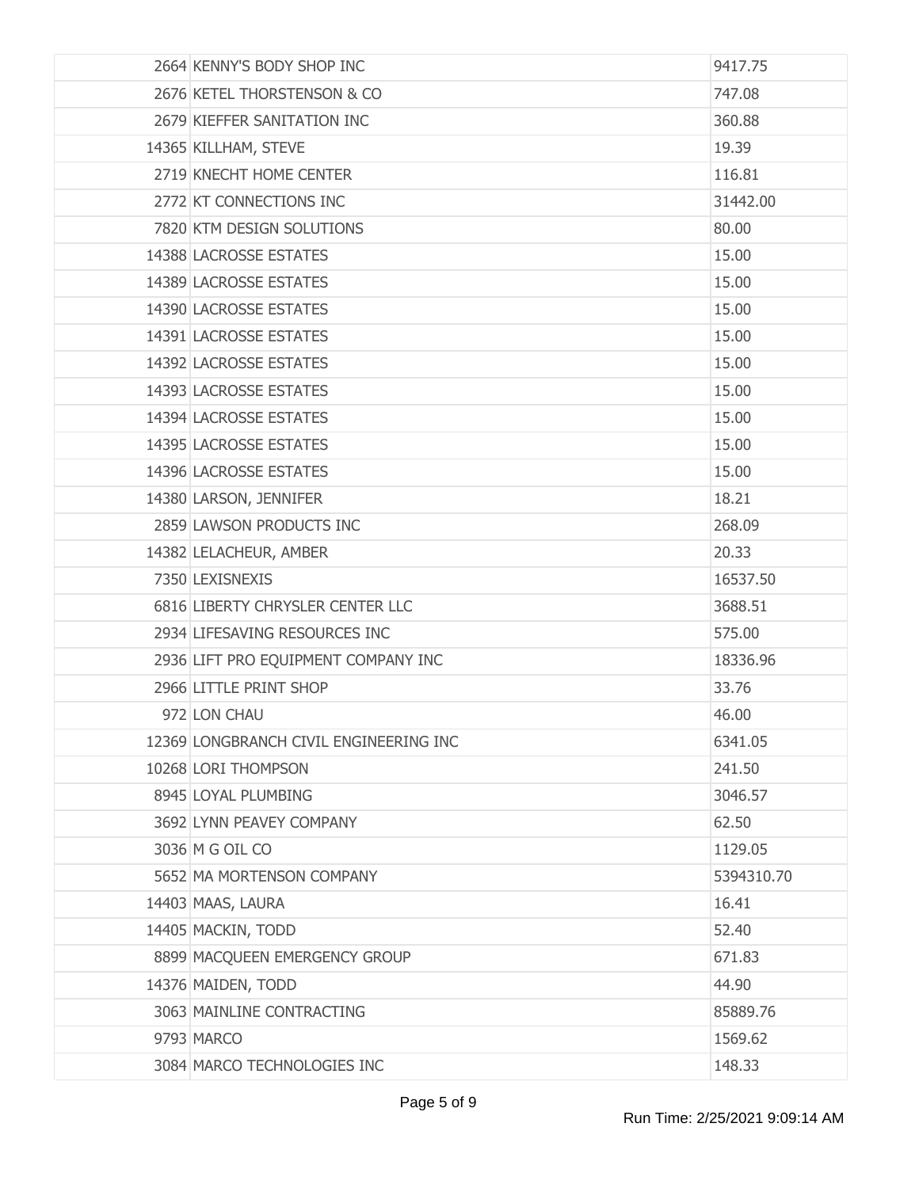| 2664 KENNY'S BODY SHOP INC             | 9417.75    |
|----------------------------------------|------------|
| 2676 KETEL THORSTENSON & CO            | 747.08     |
| 2679 KIEFFER SANITATION INC            | 360.88     |
| 14365 KILLHAM, STEVE                   | 19.39      |
| 2719 KNECHT HOME CENTER                | 116.81     |
| 2772 KT CONNECTIONS INC                | 31442.00   |
| 7820 KTM DESIGN SOLUTIONS              | 80.00      |
| <b>14388 LACROSSE ESTATES</b>          | 15.00      |
| 14389 LACROSSE ESTATES                 | 15.00      |
| 14390 LACROSSE ESTATES                 | 15.00      |
| 14391 LACROSSE ESTATES                 | 15.00      |
| <b>14392 LACROSSE ESTATES</b>          | 15.00      |
| 14393 LACROSSE ESTATES                 | 15.00      |
| 14394 LACROSSE ESTATES                 | 15.00      |
| 14395 LACROSSE ESTATES                 | 15.00      |
| 14396 LACROSSE ESTATES                 | 15.00      |
| 14380 LARSON, JENNIFER                 | 18.21      |
| 2859 LAWSON PRODUCTS INC               | 268.09     |
| 14382 LELACHEUR, AMBER                 | 20.33      |
| 7350 LEXISNEXIS                        | 16537.50   |
| 6816 LIBERTY CHRYSLER CENTER LLC       | 3688.51    |
| 2934 LIFESAVING RESOURCES INC          | 575.00     |
| 2936 LIFT PRO EQUIPMENT COMPANY INC    | 18336.96   |
| 2966 LITTLE PRINT SHOP                 | 33.76      |
| 972 LON CHAU                           | 46.00      |
| 12369 LONGBRANCH CIVIL ENGINEERING INC | 6341.05    |
| 10268 LORI THOMPSON                    | 241.50     |
| 8945 LOYAL PLUMBING                    | 3046.57    |
| 3692 LYNN PEAVEY COMPANY               | 62.50      |
| 3036 M G OIL CO                        | 1129.05    |
| 5652 MA MORTENSON COMPANY              | 5394310.70 |
| 14403 MAAS, LAURA                      | 16.41      |
| 14405 MACKIN, TODD                     | 52.40      |
| 8899 MACQUEEN EMERGENCY GROUP          | 671.83     |
| 14376 MAIDEN, TODD                     | 44.90      |
| 3063 MAINLINE CONTRACTING              | 85889.76   |
| 9793 MARCO                             | 1569.62    |
| 3084 MARCO TECHNOLOGIES INC            | 148.33     |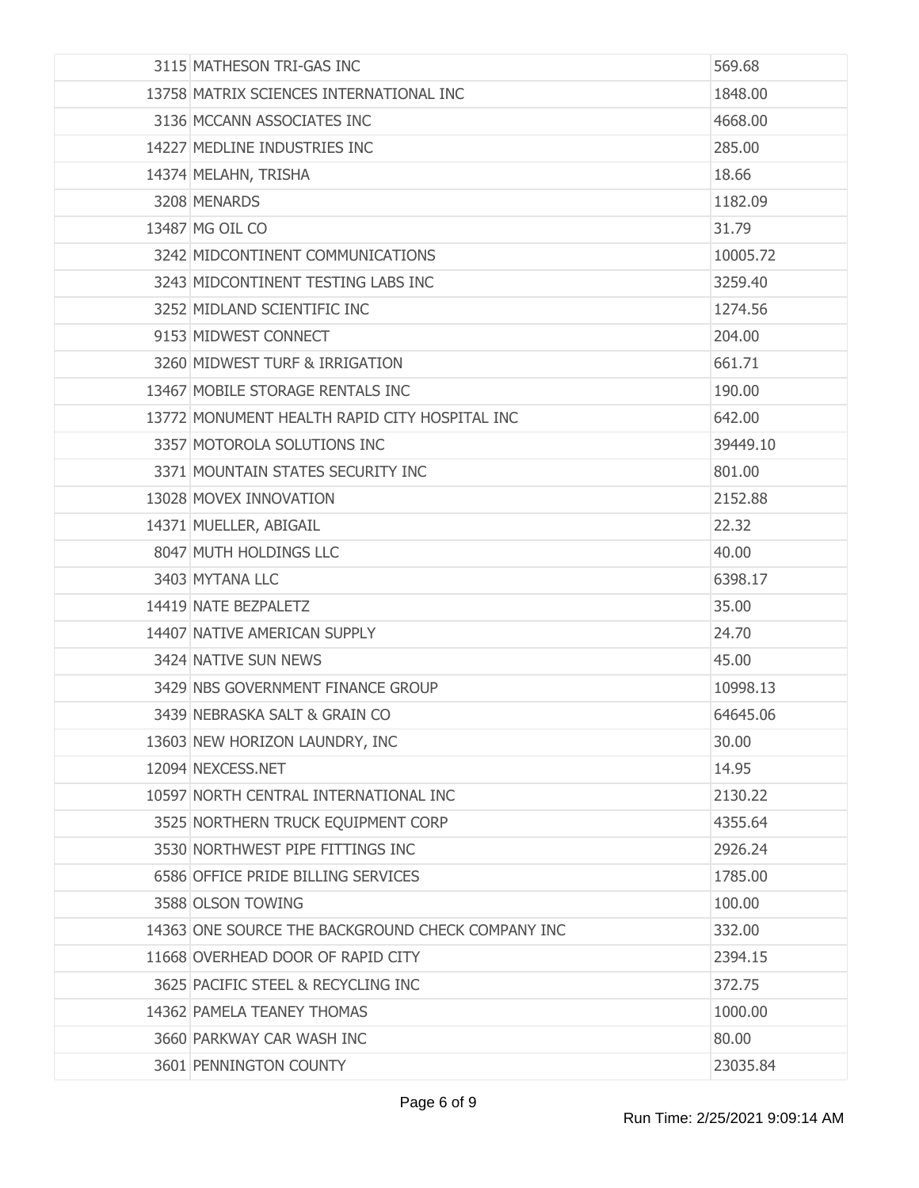| 3115 MATHESON TRI-GAS INC                         | 569.68   |
|---------------------------------------------------|----------|
| 13758 MATRIX SCIENCES INTERNATIONAL INC           | 1848.00  |
| 3136 MCCANN ASSOCIATES INC                        | 4668.00  |
| 14227 MEDLINE INDUSTRIES INC                      | 285.00   |
| 14374 MELAHN, TRISHA                              | 18.66    |
| 3208 MENARDS                                      | 1182.09  |
| 13487 MG OIL CO                                   | 31.79    |
| 3242 MIDCONTINENT COMMUNICATIONS                  | 10005.72 |
| 3243 MIDCONTINENT TESTING LABS INC                | 3259.40  |
| 3252 MIDLAND SCIENTIFIC INC                       | 1274.56  |
| 9153 MIDWEST CONNECT                              | 204.00   |
| 3260 MIDWEST TURF & IRRIGATION                    | 661.71   |
| 13467 MOBILE STORAGE RENTALS INC                  | 190.00   |
| 13772 MONUMENT HEALTH RAPID CITY HOSPITAL INC     | 642.00   |
| 3357 MOTOROLA SOLUTIONS INC                       | 39449.10 |
| 3371 MOUNTAIN STATES SECURITY INC                 | 801.00   |
| 13028 MOVEX INNOVATION                            | 2152.88  |
| 14371 MUELLER, ABIGAIL                            | 22.32    |
| 8047 MUTH HOLDINGS LLC                            | 40.00    |
| 3403 MYTANA LLC                                   | 6398.17  |
| 14419 NATE BEZPALETZ                              | 35.00    |
| 14407 NATIVE AMERICAN SUPPLY                      | 24.70    |
| 3424 NATIVE SUN NEWS                              | 45.00    |
| 3429 NBS GOVERNMENT FINANCE GROUP                 | 10998.13 |
| 3439 NEBRASKA SALT & GRAIN CO                     | 64645.06 |
| 13603 NEW HORIZON LAUNDRY, INC                    | 30.00    |
| 12094 NEXCESS.NET                                 | 14.95    |
| 10597 NORTH CENTRAL INTERNATIONAL INC             | 2130.22  |
| 3525 NORTHERN TRUCK EQUIPMENT CORP                | 4355.64  |
| 3530 NORTHWEST PIPE FITTINGS INC                  | 2926.24  |
| 6586 OFFICE PRIDE BILLING SERVICES                | 1785.00  |
| 3588 OLSON TOWING                                 | 100.00   |
| 14363 ONE SOURCE THE BACKGROUND CHECK COMPANY INC | 332.00   |
| 11668 OVERHEAD DOOR OF RAPID CITY                 | 2394.15  |
| 3625 PACIFIC STEEL & RECYCLING INC                | 372.75   |
| 14362 PAMELA TEANEY THOMAS                        | 1000.00  |
| 3660 PARKWAY CAR WASH INC                         | 80.00    |
| 3601 PENNINGTON COUNTY                            | 23035.84 |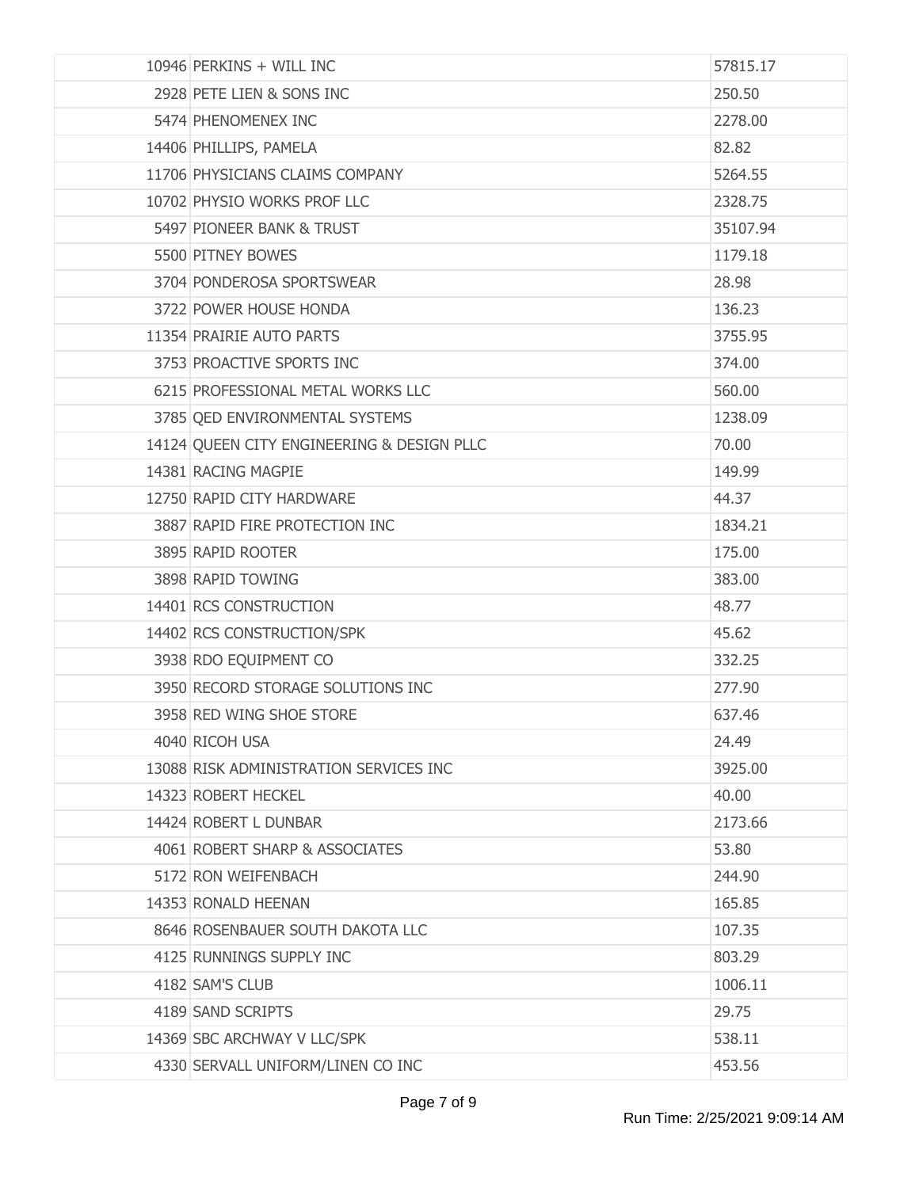| 10946 PERKINS + WILL INC                   | 57815.17 |
|--------------------------------------------|----------|
| 2928 PETE LIEN & SONS INC                  | 250.50   |
| 5474 PHENOMENEX INC                        | 2278.00  |
| 14406 PHILLIPS, PAMELA                     | 82.82    |
| 11706 PHYSICIANS CLAIMS COMPANY            | 5264.55  |
| 10702 PHYSIO WORKS PROF LLC                | 2328.75  |
| 5497 PIONEER BANK & TRUST                  | 35107.94 |
| 5500 PITNEY BOWES                          | 1179.18  |
| 3704 PONDEROSA SPORTSWEAR                  | 28.98    |
| 3722 POWER HOUSE HONDA                     | 136.23   |
| 11354 PRAIRIE AUTO PARTS                   | 3755.95  |
| 3753 PROACTIVE SPORTS INC                  | 374.00   |
| 6215 PROFESSIONAL METAL WORKS LLC          | 560.00   |
| 3785 QED ENVIRONMENTAL SYSTEMS             | 1238.09  |
| 14124 QUEEN CITY ENGINEERING & DESIGN PLLC | 70.00    |
| 14381 RACING MAGPIE                        | 149.99   |
| 12750 RAPID CITY HARDWARE                  | 44.37    |
| 3887 RAPID FIRE PROTECTION INC             | 1834.21  |
| 3895 RAPID ROOTER                          | 175.00   |
| 3898 RAPID TOWING                          | 383.00   |
| 14401 RCS CONSTRUCTION                     | 48.77    |
| 14402 RCS CONSTRUCTION/SPK                 | 45.62    |
| 3938 RDO EQUIPMENT CO                      | 332.25   |
| 3950 RECORD STORAGE SOLUTIONS INC          | 277.90   |
| 3958 RED WING SHOE STORE                   | 637.46   |
| 4040 RICOH USA                             | 24.49    |
| 13088 RISK ADMINISTRATION SERVICES INC     | 3925.00  |
| 14323 ROBERT HECKEL                        | 40.00    |
| 14424 ROBERT L DUNBAR                      | 2173.66  |
| 4061 ROBERT SHARP & ASSOCIATES             | 53.80    |
| 5172 RON WEIFENBACH                        | 244.90   |
| 14353 RONALD HEENAN                        | 165.85   |
| 8646 ROSENBAUER SOUTH DAKOTA LLC           | 107.35   |
| 4125 RUNNINGS SUPPLY INC                   | 803.29   |
| 4182 SAM'S CLUB                            | 1006.11  |
| 4189 SAND SCRIPTS                          | 29.75    |
| 14369 SBC ARCHWAY V LLC/SPK                | 538.11   |
| 4330 SERVALL UNIFORM/LINEN CO INC          | 453.56   |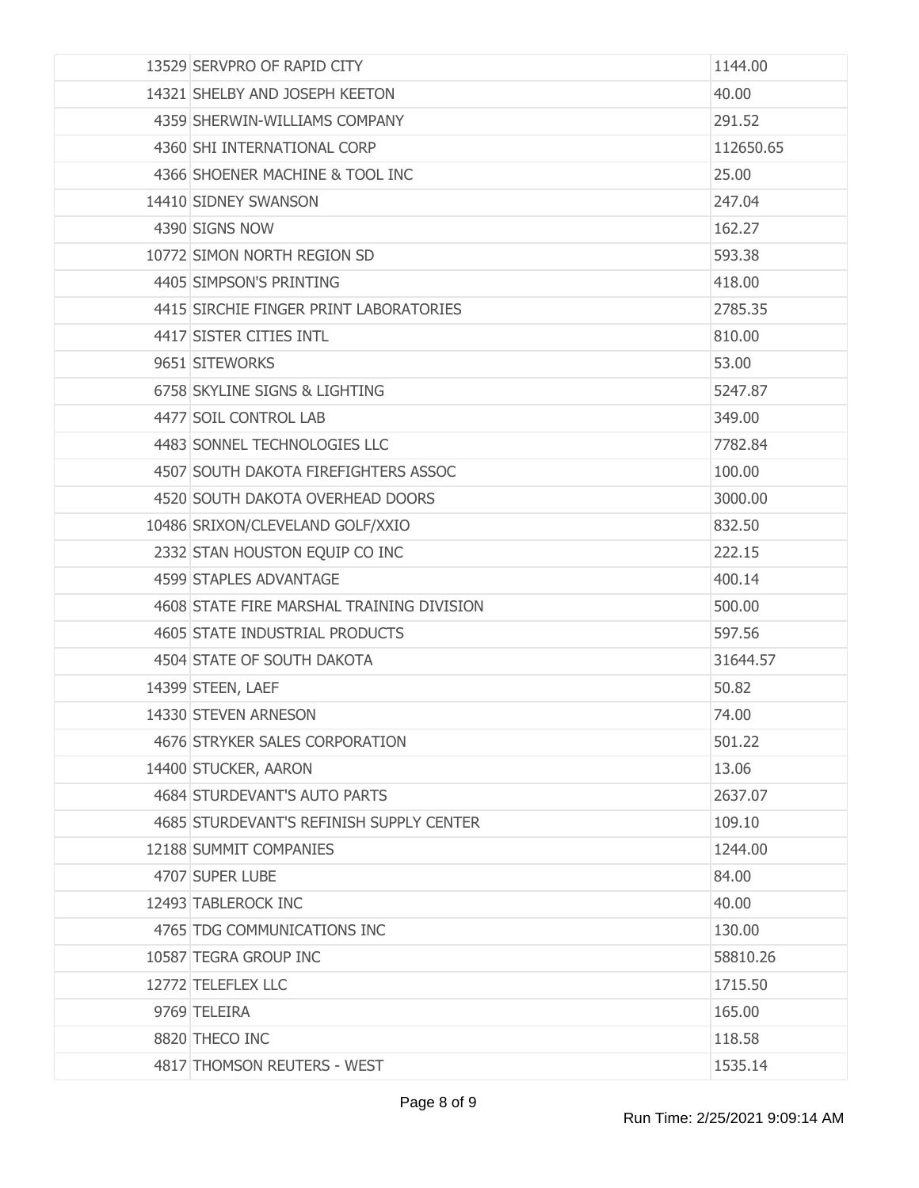| 13529 SERVPRO OF RAPID CITY               | 1144.00   |
|-------------------------------------------|-----------|
| 14321 SHELBY AND JOSEPH KEETON            | 40.00     |
| 4359 SHERWIN-WILLIAMS COMPANY             | 291.52    |
| 4360 SHI INTERNATIONAL CORP               | 112650.65 |
| 4366 SHOENER MACHINE & TOOL INC           | 25.00     |
| 14410 SIDNEY SWANSON                      | 247.04    |
| 4390 SIGNS NOW                            | 162.27    |
| 10772 SIMON NORTH REGION SD               | 593.38    |
| 4405 SIMPSON'S PRINTING                   | 418.00    |
| 4415 SIRCHIE FINGER PRINT LABORATORIES    | 2785.35   |
| 4417 SISTER CITIES INTL                   | 810.00    |
| 9651 SITEWORKS                            | 53.00     |
| 6758 SKYLINE SIGNS & LIGHTING             | 5247.87   |
| 4477 SOIL CONTROL LAB                     | 349.00    |
| 4483 SONNEL TECHNOLOGIES LLC              | 7782.84   |
| 4507 SOUTH DAKOTA FIREFIGHTERS ASSOC      | 100.00    |
| 4520 SOUTH DAKOTA OVERHEAD DOORS          | 3000.00   |
| 10486 SRIXON/CLEVELAND GOLF/XXIO          | 832.50    |
| 2332 STAN HOUSTON EQUIP CO INC            | 222.15    |
| 4599 STAPLES ADVANTAGE                    | 400.14    |
| 4608 STATE FIRE MARSHAL TRAINING DIVISION | 500.00    |
| 4605 STATE INDUSTRIAL PRODUCTS            | 597.56    |
| 4504 STATE OF SOUTH DAKOTA                | 31644.57  |
| 14399 STEEN, LAEF                         | 50.82     |
| 14330 STEVEN ARNESON                      | 74.00     |
| 4676 STRYKER SALES CORPORATION            | 501.22    |
| 14400 STUCKER, AARON                      | 13.06     |
| 4684 STURDEVANT'S AUTO PARTS              | 2637.07   |
| 4685 STURDEVANT'S REFINISH SUPPLY CENTER  | 109.10    |
| 12188 SUMMIT COMPANIES                    | 1244.00   |
| 4707 SUPER LUBE                           | 84.00     |
| 12493 TABLEROCK INC                       | 40.00     |
| 4765 TDG COMMUNICATIONS INC               | 130.00    |
| 10587 TEGRA GROUP INC                     | 58810.26  |
| 12772 TELEFLEX LLC                        | 1715.50   |
| 9769 TELEIRA                              | 165.00    |
| 8820 THECO INC                            | 118.58    |
| 4817 THOMSON REUTERS - WEST               | 1535.14   |